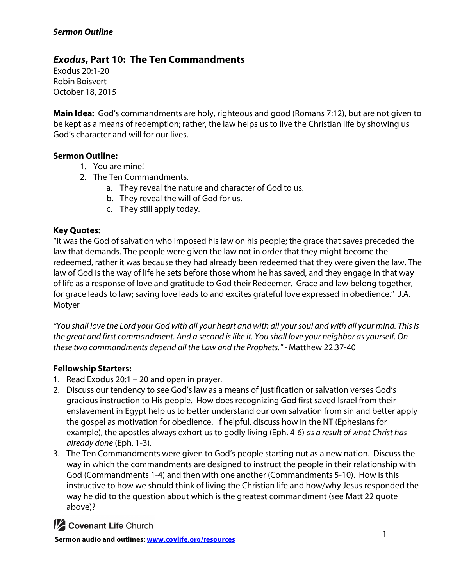# *Exodus***, Part 10: The Ten Commandments**

Exodus 20:1-20 Robin Boisvert October 18, 2015

**Main Idea:** God's commandments are holy, righteous and good (Romans 7:12), but are not given to be kept as a means of redemption; rather, the law helps us to live the Christian life by showing us God's character and will for our lives.

# **Sermon Outline:**

- 1. You are mine!
- 2. The Ten Commandments.
	- a. They reveal the nature and character of God to us.
	- b. They reveal the will of God for us.
	- c. They still apply today.

# **Key Quotes:**

"It was the God of salvation who imposed his law on his people; the grace that saves preceded the law that demands. The people were given the law not in order that they might become the redeemed, rather it was because they had already been redeemed that they were given the law. The law of God is the way of life he sets before those whom he has saved, and they engage in that way of life as a response of love and gratitude to God their Redeemer. Grace and law belong together, for grace leads to law; saving love leads to and excites grateful love expressed in obedience." J.A. Motyer

*"You shall love the Lord your God with all your heart and with all your soul and with all your mind. This is the great and first commandment. And a second is like it. You shall love your neighbor as yourself. On these two commandments depend all the Law and the Prophets." -* Matthew 22.37-40

### **Fellowship Starters:**

- 1. Read Exodus 20:1 20 and open in prayer.
- 2. Discuss our tendency to see God's law as a means of justification or salvation verses God's gracious instruction to His people. How does recognizing God first saved Israel from their enslavement in Egypt help us to better understand our own salvation from sin and better apply the gospel as motivation for obedience. If helpful, discuss how in the NT (Ephesians for example), the apostles always exhort us to godly living (Eph. 4-6) *as a result of what Christ has already done* (Eph. 1-3).
- 3. The Ten Commandments were given to God's people starting out as a new nation. Discuss the way in which the commandments are designed to instruct the people in their relationship with God (Commandments 1-4) and then with one another (Commandments 5-10). How is this instructive to how we should think of living the Christian life and how/why Jesus responded the way he did to the question about which is the greatest commandment (see Matt 22 quote above)?

**1/2 Covenant Life Church**<br> **1** Sermon audio and outlines: www.covlife.org/resources